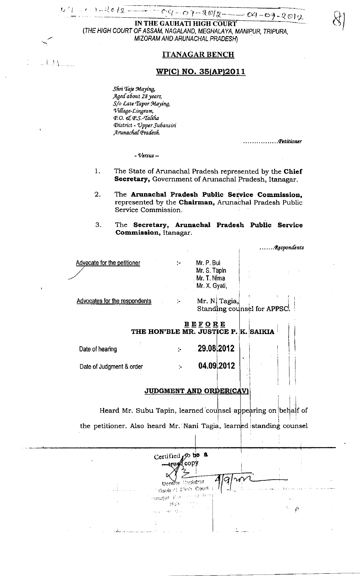$CQ-O + 2QQ$  $-04 - 09 - 2012$ 

IN THE GAUHATI HIGH COURT (THE HIGH COURT OF ASSAM, NAGALAND, MEGHALAYA, MANIPUR, TRIPURA, MIZORAM AND ARUNACHAL PRADESH)

## **ITANAGAR BENCH**

## WP(C) NO. 35(AP)2011

Shri Taje Maying, Aged about 28 years, S/o Late Tapor Maying, Village-Lingram, P.O. & P.S.-Taliha District - Upper Subansiri Arunachal Pradesh.

. . . . . . . . . . . . . . . . Petitioner

 $-$  Versus  $-$ 

- 1. The State of Arunachal Pradesh represented by the Chief Secretary, Government of Arunachal Pradesh, Itanagar.
- 2. The Arunachal Pradesh Public Service Commission, represented by the Chairman, Arunachal Pradesh Public Service Commission.
- 3. The Secretary, Arunachal Pradesh Public Service Commission, Itanagar.

.......Respondents

| Advocate for the petitioner | ÷н. | Mr. P. Bui    |
|-----------------------------|-----|---------------|
|                             |     | Mr. S. Tapin  |
|                             |     | Mr. T. Nima   |
|                             |     | Mr. X. Gyati, |
|                             |     |               |

**Advocates for the respondents** 

Mr. N. Tagia, Standing counsel for APPSC.

## $B E F O R E$ THE HON'BLE MR. JUSTICE P. K. SAIKIA

| Date of hearing          | 29.08 2012 |  |
|--------------------------|------------|--|
| Date of Judgment & order | 04.092012  |  |

þ.

## JUDGMENT AND ORDER(CAV)

Heard Mr. Subu Tapin, learned counsel appearing on behalf of the petitioner. Also heard Mr. Nani Tagia, learned standing counsel

Certified  $\infty$  be a Copy) tru≮  $\lesssim$  30184751 Dent I Gathed Pick Court  $\mu \in \text{int}$ 45,5 randgar. Purt  $\mathcal{N}_{\text{G}}$  .  $\mathcal{A}(\mathcal{A}) \cap \mathcal{A}^{k-1}_{2k}$  $\sim 1.4$ 

**TAN** 

む ケー こくうーくじしえ ――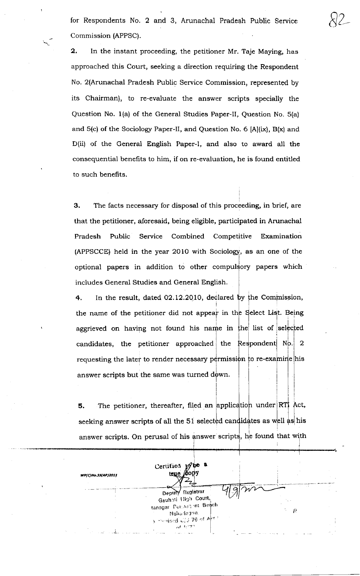for Respondents No.2 and 3, Arunachal Pradesh Public Service Commission (APPSC).

 $82-$ 

2. In the instant proceeding, the petitioner Mr. Taje Maying, has approached this Court, seeking a direction requiring the Respondent No. 2(Arunachal Pradesh Public Service Commission, represented by its Chairman), to re-evaluate the answer scripts specially the Question No. 1(a) of the General Studies Paper-II, Question No. 5(a) and  $5(c)$  of the Sociology Paper-II, and Question No. 6 [A](ix), B(x) and D(ii) of the General English Paper-I, and also to award all the consequential benefits to him, if on re-evaluation, he is found entitled to such benefits.

3. The facts necessary for disposal of this proceeding, in brief, are that the petitioner, aforesaid, being eligible, participated in Arunachal Pradesh Public Service Combined Competitive Examination (APPSCCE) held in the year 2010 with Sociology, as an one of the optional papers in addition to other compulsory papers which includes General Studies and General English.

4. In the result, dated 02.12.2010, declared  $\begin{bmatrix} 1 & 1 \\ 1 & 1 \end{bmatrix}$ Commission the name of the petitioner did not appear in the Select List. Being aggrieved on having not found his name in  ${\left\lfloor \text{he} \right\rfloor }$  list of selected candidates, the petitioner approached the  $\mathsf{Res}$ pondent  $\mathsf{N}$ requesting the later to render necessary permission to re-examine his answer scripts but the same was turned down. 2

5. The petitioner, thereafter, filed an application under  ${\sf seeking}$  answer scripts of all the 51 selected candidates as well as his I I answer scripts. On perusal of his answer scripts, he found that with

l

| WP(C)No.35(AP)2011 | be a<br>Certified w.<br>true $\beta$ on |                                     |
|--------------------|-----------------------------------------|-------------------------------------|
|                    |                                         |                                     |
|                    | Deputy Registrar<br>Gauhati High Court, |                                     |
|                    | tanagar Persoament Bench<br>Naha lagun. | ţ.<br>$\mathcal{L}^{\mathcal{A}}$ . |
|                    | a morised use 76 of April<br>$-4.177$   |                                     |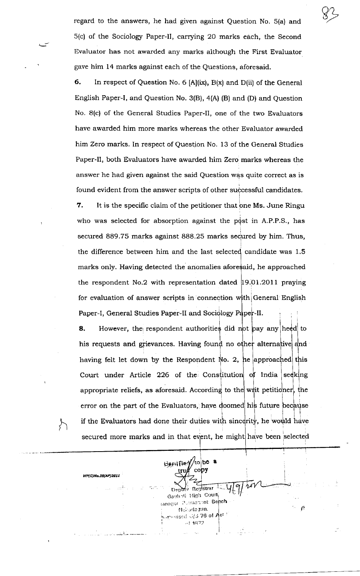regard to the answers, he had given against Question No. 5(a) and 5(c) of the Sociologr Paper-ll, carrying 20 marks each, the Second Evaluator has not awarded any marks although the First Evaluator gave him 14 marks against each of the Questions, aforesaid.

s2

6. ln respect of Question No. 6 [A](ix), B(x) and D(ii) of the General English Paper-I, and Question No. 3(B),4(A) (B) and (D) and Question No. 8(c) of the General Studies Paper-II, one of the two Evaluators have awarded him more marks whereas the other Evaluator awarded him Zero marks. In respect of Question No. 13 of the General Studies Paper-Il, both Evaluators have awarded him Zero marks whereas the answer he had given against the said Question was quite correct as is found evident from the answer scripts of other successful candidates. 7. It is the specific claim of the petitioner that one Ms. June Ringu who was selected for absorption against the post in A.P.P.S., has  ${\rm secured}$  889.75 marks against 888.25 marks  ${\rm sec}$ ured by him. Thus, the difference between him and the last selected candidate was 1.5 marks only. Having detected the anomalies afore\$aid, he approached the respondent No.2 with representation dated  $|19.01.2011$  praying for evaluation of answer scripts in connection with General English Paper-I, General Studies Paper-II and Sociology Paper-II.

**8.** However, the respondent authorities did not pay any heed to his requests and grievances. Having found no other alternative having felt let down by the Respondent  $\mathbb N$ o. 2, he approached this  $\textbf{Court}$  under Article 226 of the Constitution of India appropriate reliefs, as aforesaid. According to the writ petitioner, the error on the part of the Evaluators, have  $\leftarrow$  doomed his future because stitution of India seeking if the Evaluators had done their duties with sincerity, he would have I secured more marks and in that event, he might  $\begin{smallmatrix}1&&\&1\&&1\end{smallmatrix}$ have been 'selected

Befulled//to be a

WP(C)No.35(AP)2011

 $\zeta$ 

copy

Depen Registrar Gaunnti High Court lansgar :Permannint Be<mark>nch</mark>

Naharlagun.  $\lambda_{\rm eff}$  orised 0/3 76 of Act

 $-1872$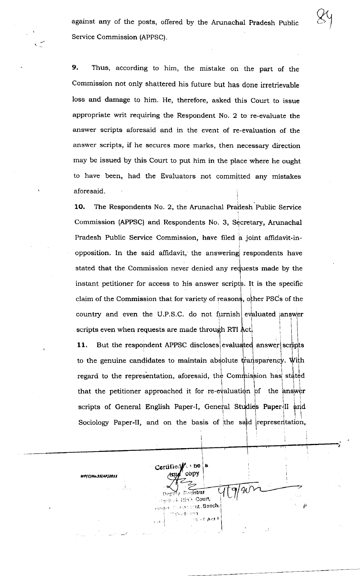against any of the posts, offered by the Arunachal Pradesh Public Service Commission (APPSC).

Thus, according to him, the mistake on the part of the 9. Commission not only shattered his future but has done irretrievable loss and damage to him. He, therefore, asked this Court to issue appropriate writ requiring the Respondent No. 2 to re-evaluate the answer scripts aforesaid and in the event of re-evaluation of the answer scripts, if he secures more marks, then necessary direction may be issued by this Court to put him in the place where he ought to have been, had the Evaluators not committed any mistakes aforesaid.

The Respondents No. 2, the Arunachal Pradesh Public Service 10. Commission (APPSC) and Respondents No. 3, Secretary, Arunachal Pradesh Public Service Commission, have filed a joint affidavit-inopposition. In the said affidavit, the answering respondents have stated that the Commission never denied any requests made by the instant petitioner for access to his answer scripts. It is the specific claim of the Commission that for variety of reasons, other PSCs of the country and even the U.P.S.C. do not furnish evaluated answer scripts even when requests are made through RTI Act.

But the respondent APPSC discloses evaluated answer scripts 11. to the genuine candidates to maintain absolute transparency. With regard to the representation, aforesaid, the Commission has stated that the petitioner approached it for re-evaluation of the answer scripts of General English Paper-I, General Studies Paper-II and Sociology Paper-II, and on the basis of the said representation,

Certified i be a cony  $\sigma$  Begistral aguh el High Court, scontint.Banch. is udentita. ig at port

WP(C)No.35(AP)2011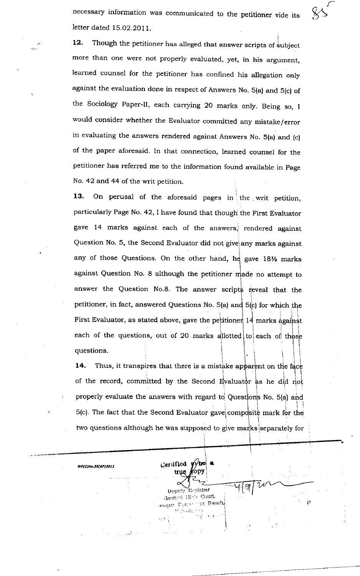necessary information was communicated to the petitioner vide its letter dated 15.02.2011.

 $\&$ 

12. Though the petitioner has alleged that answer scripts of subject more than one were not properly evaluated, yet, in his argurnent, learned counsel for the petitioner has confined his allegation only against the evaluation done in respect of Answers No. 5(a) and 5(c) of the Sociology Paper-II, each carrying 20 marks only. Being so, I would consider whether the Evaluator committed any mistake/error in evaluating the answers rendered against Answers No. 5(a) and (c) of the paper aforesaid. In that connection, learned counsel for the petitioner has referred me to the information fouhd available in page No. 42 and 44 of the writ petition.

13. On perusal of the aforesaid pages in the writ petition, particularly Page No. 42, I have found that though the First Evaluator gave 14 marks against each of the answers, rendered against Question No. 5, the Second Evaluator did not give any marks against any of those Questions. On the other hand, he gave  $18\%$  marks against Question No. 8 although the petitioner made no attempt to answer the Question No.8. The answer scripts reveal that the I each of the questions, out of 20 marks allotted to each of petitioner, in fact, answered Questions No. 5(a) and 5(c) for which the First Evaluator, as stated above, gave the petitioner 14 marks against I I questions.

14. Thus, it transpires that there is a mistake apparent on the o of the record, committed by the Second Evaluator as he did properly evaluate the answers with regard to Questions No. 5(a) and<br>5(c). The fact that the Second Evaluator gave composite mark for the 5(c). The fact that the Second Evaluator gave  $|{\rm com}$ two questions although he was supposed to give marks separately for

I

 $\mathcal{I}$ 

tla

 $C$ erufied true

**WP(C)No.35(AP)2011** 

UcJrrl','tir:r 'Registrar Gauhati iliah Court, rrayar. Centon int, Bench!<br>الاتحاد الثانية التي تعليم التي تع